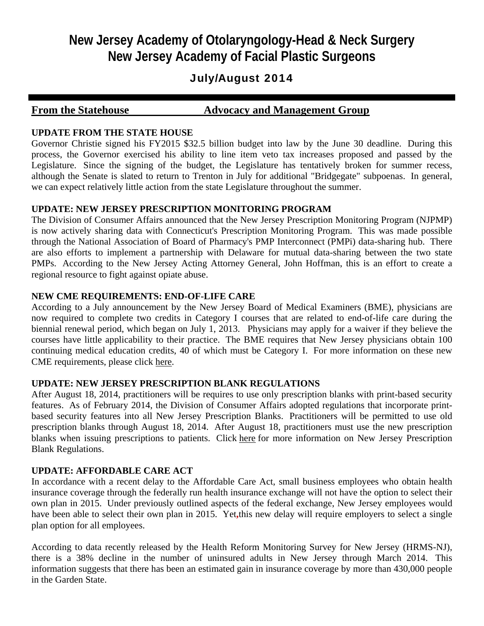## **New Jersey Academy of Otolaryngology-Head & Neck Surgery New Jersey Academy of Facial Plastic Surgeons**

## July/August 2014

### **From the Statehouse Advocacy and Management Group**

#### **UPDATE FROM THE STATE HOUSE**

Governor Christie signed his FY2015 \$32.5 billion budget into law by the June 30 deadline. During this process, the Governor exercised his ability to line item veto tax increases proposed and passed by the Legislature. Since the signing of the budget, the Legislature has tentatively broken for summer recess, although the Senate is slated to return to Trenton in July for additional "Bridgegate" subpoenas. In general, we can expect relatively little action from the state Legislature throughout the summer.

#### **UPDATE: NEW JERSEY PRESCRIPTION MONITORING PROGRAM**

The Division of Consumer Affairs announced that the New Jersey Prescription Monitoring Program (NJPMP) is now actively sharing data with Connecticut's Prescription Monitoring Program. This was made possible through the National Association of Board of Pharmacy's PMP Interconnect (PMPi) data-sharing hub. There are also efforts to implement a partnership with Delaware for mutual data-sharing between the two state PMPs. According to the New Jersey Acting Attorney General, John Hoffman, this is an effort to create a regional resource to fight against opiate abuse.

#### **NEW CME REQUIREMENTS: END-OF-LIFE CARE**

According to a July announcement by the New Jersey Board of Medical Examiners (BME), physicians are now required to complete two credits in Category I courses that are related to end-of-life care during the biennial renewal period, which began on July 1, 2013. Physicians may apply for a waiver if they believe the courses have little applicability to their practice. The BME requires that New Jersey physicians obtain 100 continuing medical education credits, 40 of which must be Category I. For more information on these new CME requirements, please click here.

#### **UPDATE: NEW JERSEY PRESCRIPTION BLANK REGULATIONS**

After August 18, 2014, practitioners will be requires to use only prescription blanks with print-based security features. As of February 2014, the Division of Consumer Affairs adopted regulations that incorporate printbased security features into all New Jersey Prescription Blanks. Practitioners will be permitted to use old prescription blanks through August 18, 2014. After August 18, practitioners must use the new prescription blanks when issuing prescriptions to patients. Click here for more information on New Jersey Prescription Blank Regulations.

#### **UPDATE: AFFORDABLE CARE ACT**

In accordance with a recent delay to the Affordable Care Act, small business employees who obtain health insurance coverage through the federally run health insurance exchange will not have the option to select their own plan in 2015. Under previously outlined aspects of the federal exchange, New Jersey employees would have been able to select their own plan in 2015. Yet**,**this new delay will require employers to select a single plan option for all employees.

According to data recently released by the Health Reform Monitoring Survey for New Jersey (HRMS-NJ), there is a 38% decline in the number of uninsured adults in New Jersey through March 2014. This information suggests that there has been an estimated gain in insurance coverage by more than 430,000 people in the Garden State.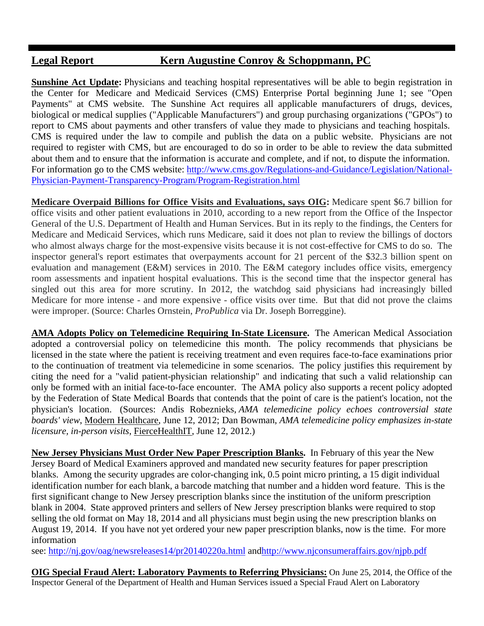## **Legal Report Kern Augustine Conroy & Schoppmann, PC**

**Sunshine Act Update:** Physicians and teaching hospital representatives will be able to begin registration in the Center for Medicare and Medicaid Services (CMS) Enterprise Portal beginning June 1; see "Open Payments" at CMS website. The Sunshine Act requires all applicable manufacturers of drugs, devices, biological or medical supplies ("Applicable Manufacturers") and group purchasing organizations ("GPOs") to report to CMS about payments and other transfers of value they made to physicians and teaching hospitals. CMS is required under the law to compile and publish the data on a public website. Physicians are not required to register with CMS, but are encouraged to do so in order to be able to review the data submitted about them and to ensure that the information is accurate and complete, and if not, to dispute the information. For information go to the CMS website: http://www.cms.gov/Regulations-and-Guidance/Legislation/National-Physician-Payment-Transparency-Program/Program-Registration.html

**Medicare Overpaid Billions for Office Visits and Evaluations, says OIG:** Medicare spent \$6.7 billion for office visits and other patient evaluations in 2010, according to a new report from the Office of the Inspector General of the U.S. Department of Health and Human Services. But in its reply to the findings, the Centers for Medicare and Medicaid Services, which runs Medicare, said it does not plan to review the billings of doctors who almost always charge for the most-expensive visits because it is not cost-effective for CMS to do so. The inspector general's report estimates that overpayments account for 21 percent of the \$32.3 billion spent on evaluation and management (E&M) services in 2010. The E&M category includes office visits, emergency room assessments and inpatient hospital evaluations. This is the second time that the inspector general has singled out this area for more scrutiny. In 2012, the watchdog said physicians had increasingly billed Medicare for more intense - and more expensive - office visits over time. But that did not prove the claims were improper. (Source: Charles Ornstein, *ProPublica* via Dr. Joseph Borreggine).

**AMA Adopts Policy on Telemedicine Requiring In-State Licensure.** The American Medical Association adopted a controversial policy on telemedicine this month. The policy recommends that physicians be licensed in the state where the patient is receiving treatment and even requires face-to-face examinations prior to the continuation of treatment via telemedicine in some scenarios. The policy justifies this requirement by citing the need for a "valid patient-physician relationship" and indicating that such a valid relationship can only be formed with an initial face-to-face encounter. The AMA policy also supports a recent policy adopted by the Federation of State Medical Boards that contends that the point of care is the patient's location, not the physician's location. (Sources: Andis Robeznieks, *AMA telemedicine policy echoes controversial state boards' view*, Modern Healthcare, June 12, 2012; Dan Bowman, *AMA telemedicine policy emphasizes in-state licensure, in-person visits*, FierceHealthIT, June 12, 2012.)

**New Jersey Physicians Must Order New Paper Prescription Blanks.** In February of this year the New Jersey Board of Medical Examiners approved and mandated new security features for paper prescription blanks. Among the security upgrades are color-changing ink, 0.5 point micro printing, a 15 digit individual identification number for each blank, a barcode matching that number and a hidden word feature. This is the first significant change to New Jersey prescription blanks since the institution of the uniform prescription blank in 2004. State approved printers and sellers of New Jersey prescription blanks were required to stop selling the old format on May 18, 2014 and all physicians must begin using the new prescription blanks on August 19, 2014. If you have not yet ordered your new paper prescription blanks, now is the time. For more information

see: http://nj.gov/oag/newsreleases14/pr20140220a.html andhttp://www.njconsumeraffairs.gov/njpb.pdf

**OIG Special Fraud Alert: Laboratory Payments to Referring Physicians:** On June 25, 2014, the Office of the Inspector General of the Department of Health and Human Services issued a Special Fraud Alert on Laboratory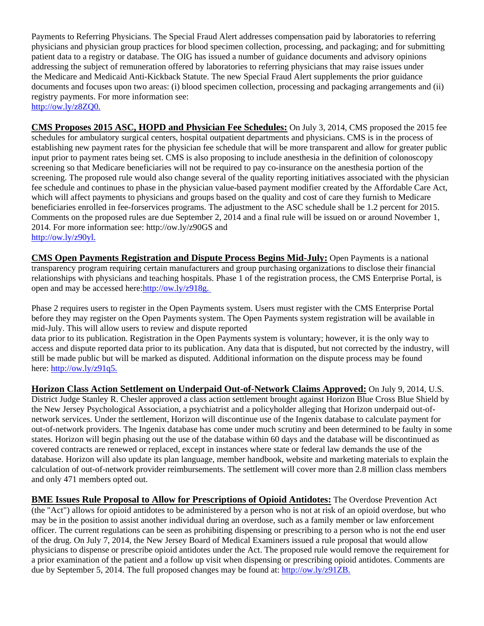Payments to Referring Physicians. The Special Fraud Alert addresses compensation paid by laboratories to referring physicians and physician group practices for blood specimen collection, processing, and packaging; and for submitting patient data to a registry or database. The OIG has issued a number of guidance documents and advisory opinions addressing the subject of remuneration offered by laboratories to referring physicians that may raise issues under the Medicare and Medicaid Anti-Kickback Statute. The new Special Fraud Alert supplements the prior guidance documents and focuses upon two areas: (i) blood specimen collection, processing and packaging arrangements and (ii) registry payments. For more information see: http://ow.ly/z8ZQ0.

**CMS Proposes 2015 ASC, HOPD and Physician Fee Schedules:** On July 3, 2014, CMS proposed the 2015 fee schedules for ambulatory surgical centers, hospital outpatient departments and physicians. CMS is in the process of establishing new payment rates for the physician fee schedule that will be more transparent and allow for greater public input prior to payment rates being set. CMS is also proposing to include anesthesia in the definition of colonoscopy screening so that Medicare beneficiaries will not be required to pay co-insurance on the anesthesia portion of the screening. The proposed rule would also change several of the quality reporting initiatives associated with the physician fee schedule and continues to phase in the physician value-based payment modifier created by the Affordable Care Act, which will affect payments to physicians and groups based on the quality and cost of care they furnish to Medicare beneficiaries enrolled in fee-forservices programs. The adjustment to the ASC schedule shall be 1.2 percent for 2015. Comments on the proposed rules are due September 2, 2014 and a final rule will be issued on or around November 1, 2014. For more information see: http://ow.ly/z90GS and http://ow.ly/z90yl.

**CMS Open Payments Registration and Dispute Process Begins Mid-July:** Open Payments is a national transparency program requiring certain manufacturers and group purchasing organizations to disclose their financial relationships with physicians and teaching hospitals. Phase 1 of the registration process, the CMS Enterprise Portal, is open and may be accessed here:http://ow.ly/z918g.

Phase 2 requires users to register in the Open Payments system. Users must register with the CMS Enterprise Portal before they may register on the Open Payments system. The Open Payments system registration will be available in mid-July. This will allow users to review and dispute reported

data prior to its publication. Registration in the Open Payments system is voluntary; however, it is the only way to access and dispute reported data prior to its publication. Any data that is disputed, but not corrected by the industry, will still be made public but will be marked as disputed. Additional information on the dispute process may be found here: http://ow.ly/z91q5.

**Horizon Class Action Settlement on Underpaid Out-of-Network Claims Approved:** On July 9, 2014, U.S. District Judge Stanley R. Chesler approved a class action settlement brought against Horizon Blue Cross Blue Shield by the New Jersey Psychological Association, a psychiatrist and a policyholder alleging that Horizon underpaid out-ofnetwork services. Under the settlement, Horizon will discontinue use of the Ingenix database to calculate payment for out-of-network providers. The Ingenix database has come under much scrutiny and been determined to be faulty in some states. Horizon will begin phasing out the use of the database within 60 days and the database will be discontinued as covered contracts are renewed or replaced, except in instances where state or federal law demands the use of the database. Horizon will also update its plan language, member handbook, website and marketing materials to explain the calculation of out-of-network provider reimbursements. The settlement will cover more than 2.8 million class members and only 471 members opted out.

**BME Issues Rule Proposal to Allow for Prescriptions of Opioid Antidotes:** The Overdose Prevention Act (the "Act") allows for opioid antidotes to be administered by a person who is not at risk of an opioid overdose, but who may be in the position to assist another individual during an overdose, such as a family member or law enforcement officer. The current regulations can be seen as prohibiting dispensing or prescribing to a person who is not the end user of the drug. On July 7, 2014, the New Jersey Board of Medical Examiners issued a rule proposal that would allow physicians to dispense or prescribe opioid antidotes under the Act. The proposed rule would remove the requirement for a prior examination of the patient and a follow up visit when dispensing or prescribing opioid antidotes. Comments are due by September 5, 2014. The full proposed changes may be found at: http://ow.ly/z91ZB.